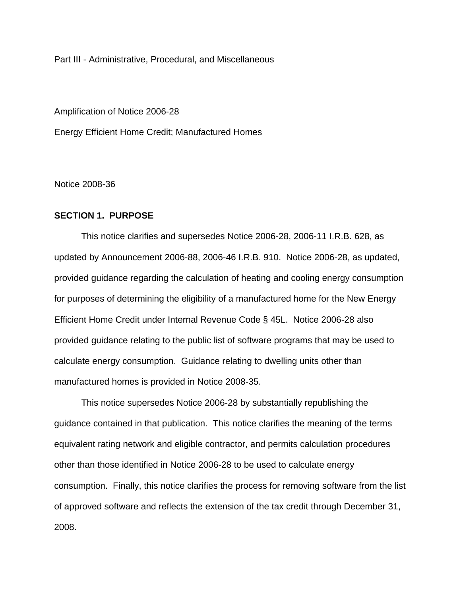Part III - Administrative, Procedural, and Miscellaneous

Amplification of Notice 2006-28 Energy Efficient Home Credit; Manufactured Homes

Notice 2008-36

## **SECTION 1. PURPOSE**

This notice clarifies and supersedes Notice 2006-28, 2006-11 I.R.B. 628, as updated by Announcement 2006-88, 2006-46 I.R.B. 910. Notice 2006-28, as updated, provided guidance regarding the calculation of heating and cooling energy consumption for purposes of determining the eligibility of a manufactured home for the New Energy Efficient Home Credit under Internal Revenue Code § 45L. Notice 2006-28 also provided guidance relating to the public list of software programs that may be used to calculate energy consumption. Guidance relating to dwelling units other than manufactured homes is provided in Notice 2008-35.

This notice supersedes Notice 2006-28 by substantially republishing the guidance contained in that publication. This notice clarifies the meaning of the terms equivalent rating network and eligible contractor, and permits calculation procedures other than those identified in Notice 2006-28 to be used to calculate energy consumption. Finally, this notice clarifies the process for removing software from the list of approved software and reflects the extension of the tax credit through December 31, 2008.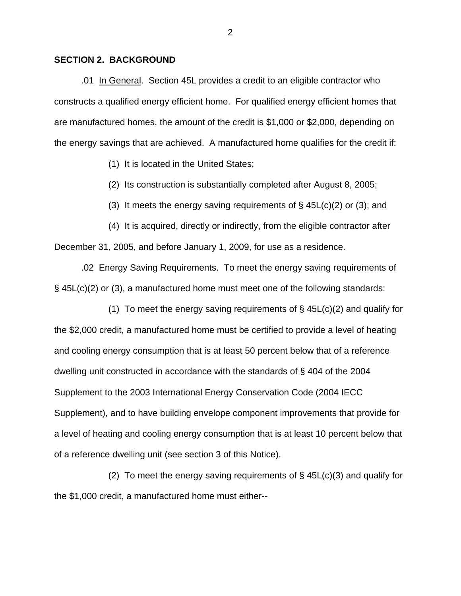## **SECTION 2. BACKGROUND**

.01 In General. Section 45L provides a credit to an eligible contractor who constructs a qualified energy efficient home. For qualified energy efficient homes that are manufactured homes, the amount of the credit is \$1,000 or \$2,000, depending on the energy savings that are achieved. A manufactured home qualifies for the credit if:

(1) It is located in the United States;

(2) Its construction is substantially completed after August 8, 2005;

(3) It meets the energy saving requirements of  $\S$  45L(c)(2) or (3); and

(4) It is acquired, directly or indirectly, from the eligible contractor after December 31, 2005, and before January 1, 2009, for use as a residence.

.02 Energy Saving Requirements. To meet the energy saving requirements of § 45L(c)(2) or (3), a manufactured home must meet one of the following standards:

(1) To meet the energy saving requirements of  $\S$  45L(c)(2) and qualify for the \$2,000 credit, a manufactured home must be certified to provide a level of heating and cooling energy consumption that is at least 50 percent below that of a reference dwelling unit constructed in accordance with the standards of § 404 of the 2004 Supplement to the 2003 International Energy Conservation Code (2004 IECC Supplement), and to have building envelope component improvements that provide for a level of heating and cooling energy consumption that is at least 10 percent below that of a reference dwelling unit (see section 3 of this Notice).

(2) To meet the energy saving requirements of  $\S$  45L(c)(3) and qualify for the \$1,000 credit, a manufactured home must either--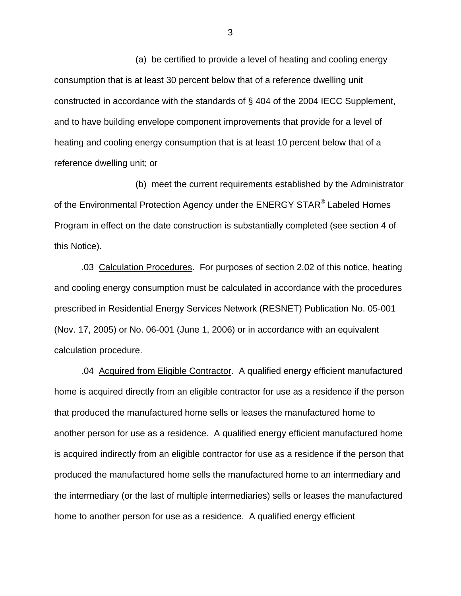(a) be certified to provide a level of heating and cooling energy consumption that is at least 30 percent below that of a reference dwelling unit constructed in accordance with the standards of § 404 of the 2004 IECC Supplement, and to have building envelope component improvements that provide for a level of heating and cooling energy consumption that is at least 10 percent below that of a reference dwelling unit; or

(b) meet the current requirements established by the Administrator of the Environmental Protection Agency under the ENERGY STAR<sup>®</sup> Labeled Homes Program in effect on the date construction is substantially completed (see section 4 of this Notice).

 .03 Calculation Procedures. For purposes of section 2.02 of this notice, heating and cooling energy consumption must be calculated in accordance with the procedures prescribed in Residential Energy Services Network (RESNET) Publication No. 05-001 (Nov. 17, 2005) or No. 06-001 (June 1, 2006) or in accordance with an equivalent calculation procedure.

.04 Acquired from Eligible Contractor. A qualified energy efficient manufactured home is acquired directly from an eligible contractor for use as a residence if the person that produced the manufactured home sells or leases the manufactured home to another person for use as a residence. A qualified energy efficient manufactured home is acquired indirectly from an eligible contractor for use as a residence if the person that produced the manufactured home sells the manufactured home to an intermediary and the intermediary (or the last of multiple intermediaries) sells or leases the manufactured home to another person for use as a residence. A qualified energy efficient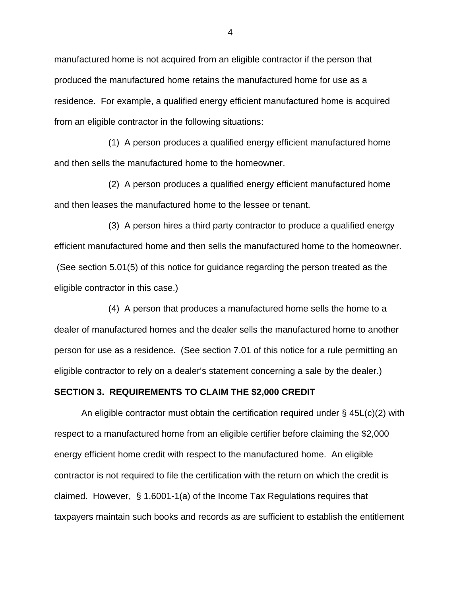manufactured home is not acquired from an eligible contractor if the person that produced the manufactured home retains the manufactured home for use as a residence. For example, a qualified energy efficient manufactured home is acquired from an eligible contractor in the following situations:

 (1) A person produces a qualified energy efficient manufactured home and then sells the manufactured home to the homeowner.

 (2) A person produces a qualified energy efficient manufactured home and then leases the manufactured home to the lessee or tenant.

(3) A person hires a third party contractor to produce a qualified energy efficient manufactured home and then sells the manufactured home to the homeowner. (See section 5.01(5) of this notice for guidance regarding the person treated as the eligible contractor in this case.)

 (4) A person that produces a manufactured home sells the home to a dealer of manufactured homes and the dealer sells the manufactured home to another person for use as a residence. (See section 7.01 of this notice for a rule permitting an eligible contractor to rely on a dealer's statement concerning a sale by the dealer.)

#### **SECTION 3. REQUIREMENTS TO CLAIM THE \$2,000 CREDIT**

An eligible contractor must obtain the certification required under § 45L(c)(2) with respect to a manufactured home from an eligible certifier before claiming the \$2,000 energy efficient home credit with respect to the manufactured home. An eligible contractor is not required to file the certification with the return on which the credit is claimed. However, § 1.6001-1(a) of the Income Tax Regulations requires that taxpayers maintain such books and records as are sufficient to establish the entitlement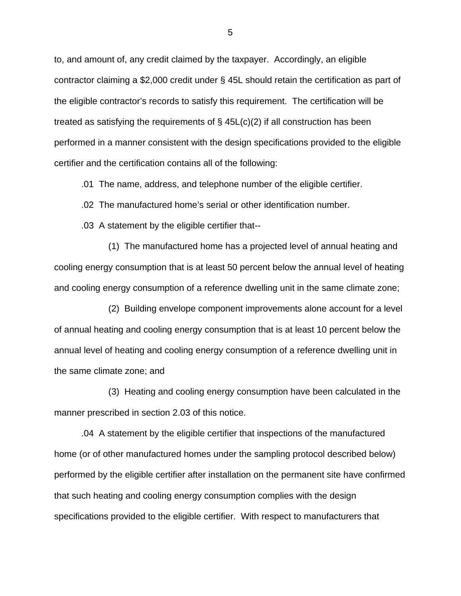to, and amount of, any credit claimed by the taxpayer. Accordingly, an eligible contractor claiming a \$2,000 credit under § 45L should retain the certification as part of the eligible contractor's records to satisfy this requirement. The certification will be treated as satisfying the requirements of  $\S$  45L(c)(2) if all construction has been performed in a manner consistent with the design specifications provided to the eligible certifier and the certification contains all of the following:

.01 The name, address, and telephone number of the eligible certifier.

.02 The manufactured home's serial or other identification number.

.03 A statement by the eligible certifier that--

(1) The manufactured home has a projected level of annual heating and cooling energy consumption that is at least 50 percent below the annual level of heating and cooling energy consumption of a reference dwelling unit in the same climate zone;

(2) Building envelope component improvements alone account for a level of annual heating and cooling energy consumption that is at least 10 percent below the annual level of heating and cooling energy consumption of a reference dwelling unit in the same climate zone; and

(3) Heating and cooling energy consumption have been calculated in the manner prescribed in section 2.03 of this notice.

 .04 A statement by the eligible certifier that inspections of the manufactured home (or of other manufactured homes under the sampling protocol described below) performed by the eligible certifier after installation on the permanent site have confirmed that such heating and cooling energy consumption complies with the design specifications provided to the eligible certifier. With respect to manufacturers that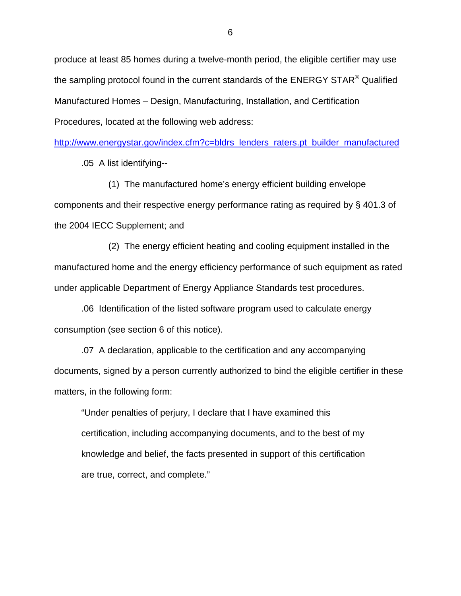produce at least 85 homes during a twelve-month period, the eligible certifier may use the sampling protocol found in the current standards of the ENERGY STAR<sup>®</sup> Qualified Manufactured Homes – Design, Manufacturing, Installation, and Certification Procedures, located at the following web address:

[http://www.energystar.gov/index.cfm?c=bldrs\\_lenders\\_raters.pt\\_builder\\_manufactured](http://www.energystar.gov/index.cfm?c=bldrs_lenders_raters.pt_builder_manufactured)

.05 A list identifying--

(1) The manufactured home's energy efficient building envelope components and their respective energy performance rating as required by § 401.3 of the 2004 IECC Supplement; and

(2) The energy efficient heating and cooling equipment installed in the manufactured home and the energy efficiency performance of such equipment as rated under applicable Department of Energy Appliance Standards test procedures.

.06 Identification of the listed software program used to calculate energy consumption (see section 6 of this notice).

.07 A declaration, applicable to the certification and any accompanying documents, signed by a person currently authorized to bind the eligible certifier in these matters, in the following form:

"Under penalties of perjury, I declare that I have examined this certification, including accompanying documents, and to the best of my knowledge and belief, the facts presented in support of this certification are true, correct, and complete."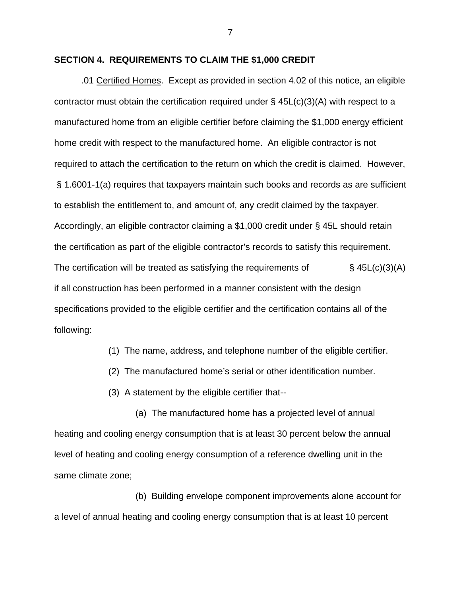### **SECTION 4. REQUIREMENTS TO CLAIM THE \$1,000 CREDIT**

.01 Certified Homes. Except as provided in section 4.02 of this notice, an eligible contractor must obtain the certification required under  $\S$  45L(c)(3)(A) with respect to a manufactured home from an eligible certifier before claiming the \$1,000 energy efficient home credit with respect to the manufactured home. An eligible contractor is not required to attach the certification to the return on which the credit is claimed. However, § 1.6001-1(a) requires that taxpayers maintain such books and records as are sufficient to establish the entitlement to, and amount of, any credit claimed by the taxpayer. Accordingly, an eligible contractor claiming a \$1,000 credit under § 45L should retain the certification as part of the eligible contractor's records to satisfy this requirement. The certification will be treated as satisfying the requirements of  $\S$  45L(c)(3)(A) if all construction has been performed in a manner consistent with the design specifications provided to the eligible certifier and the certification contains all of the following:

(1) The name, address, and telephone number of the eligible certifier.

(2) The manufactured home's serial or other identification number.

(3) A statement by the eligible certifier that--

(a) The manufactured home has a projected level of annual heating and cooling energy consumption that is at least 30 percent below the annual level of heating and cooling energy consumption of a reference dwelling unit in the same climate zone;

(b) Building envelope component improvements alone account for a level of annual heating and cooling energy consumption that is at least 10 percent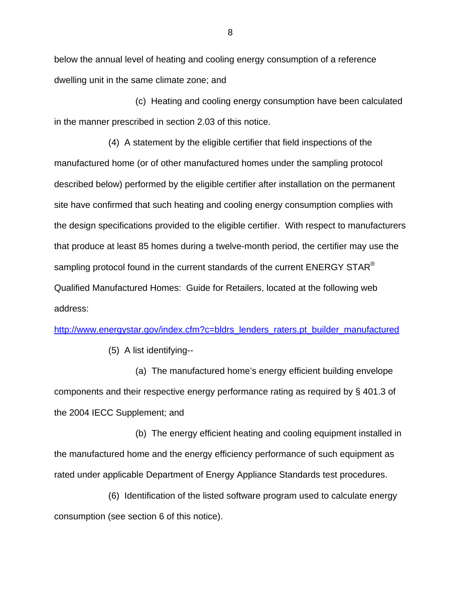below the annual level of heating and cooling energy consumption of a reference dwelling unit in the same climate zone; and

(c) Heating and cooling energy consumption have been calculated in the manner prescribed in section 2.03 of this notice.

 (4) A statement by the eligible certifier that field inspections of the manufactured home (or of other manufactured homes under the sampling protocol described below) performed by the eligible certifier after installation on the permanent site have confirmed that such heating and cooling energy consumption complies with the design specifications provided to the eligible certifier. With respect to manufacturers that produce at least 85 homes during a twelve-month period, the certifier may use the sampling protocol found in the current standards of the current  $ENERGY STAR<sup>®</sup>$ Qualified Manufactured Homes: Guide for Retailers, located at the following web address:

[http://www.energystar.gov/index.cfm?c=bldrs\\_lenders\\_raters.pt\\_builder\\_manufactured](http://www.energystar.gov/index.cfm?c=bldrs_lenders_raters.pt_builder_manufactured)

(5) A list identifying--

(a) The manufactured home's energy efficient building envelope components and their respective energy performance rating as required by § 401.3 of the 2004 IECC Supplement; and

(b) The energy efficient heating and cooling equipment installed in the manufactured home and the energy efficiency performance of such equipment as rated under applicable Department of Energy Appliance Standards test procedures.

(6) Identification of the listed software program used to calculate energy consumption (see section 6 of this notice).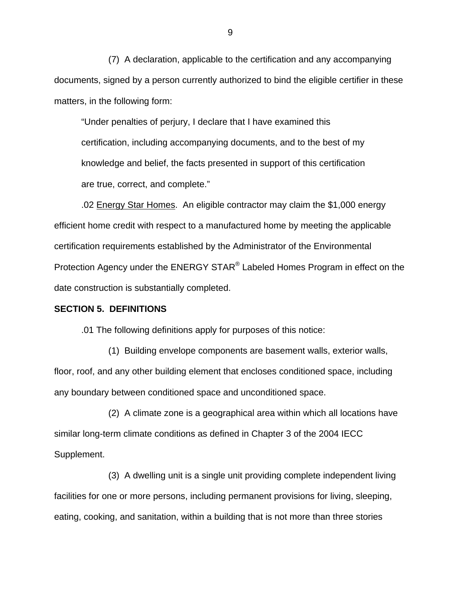(7) A declaration, applicable to the certification and any accompanying documents, signed by a person currently authorized to bind the eligible certifier in these matters, in the following form:

"Under penalties of perjury, I declare that I have examined this certification, including accompanying documents, and to the best of my knowledge and belief, the facts presented in support of this certification are true, correct, and complete."

 .02 Energy Star Homes. An eligible contractor may claim the \$1,000 energy efficient home credit with respect to a manufactured home by meeting the applicable certification requirements established by the Administrator of the Environmental Protection Agency under the ENERGY STAR® Labeled Homes Program in effect on the date construction is substantially completed.

#### **SECTION 5. DEFINITIONS**

.01 The following definitions apply for purposes of this notice:

 (1) Building envelope components are basement walls, exterior walls, floor, roof, and any other building element that encloses conditioned space, including any boundary between conditioned space and unconditioned space.

 (2) A climate zone is a geographical area within which all locations have similar long-term climate conditions as defined in Chapter 3 of the 2004 IECC Supplement.

 (3) A dwelling unit is a single unit providing complete independent living facilities for one or more persons, including permanent provisions for living, sleeping, eating, cooking, and sanitation, within a building that is not more than three stories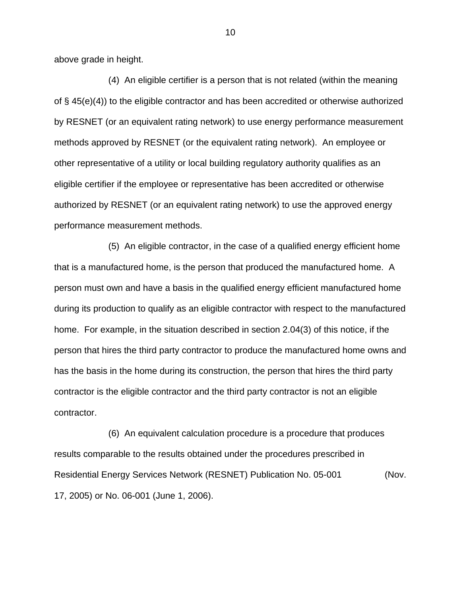above grade in height.

 (4) An eligible certifier is a person that is not related (within the meaning of § 45(e)(4)) to the eligible contractor and has been accredited or otherwise authorized by RESNET (or an equivalent rating network) to use energy performance measurement methods approved by RESNET (or the equivalent rating network). An employee or other representative of a utility or local building regulatory authority qualifies as an eligible certifier if the employee or representative has been accredited or otherwise authorized by RESNET (or an equivalent rating network) to use the approved energy performance measurement methods.

 (5) An eligible contractor, in the case of a qualified energy efficient home that is a manufactured home, is the person that produced the manufactured home. A person must own and have a basis in the qualified energy efficient manufactured home during its production to qualify as an eligible contractor with respect to the manufactured home. For example, in the situation described in section 2.04(3) of this notice, if the person that hires the third party contractor to produce the manufactured home owns and has the basis in the home during its construction, the person that hires the third party contractor is the eligible contractor and the third party contractor is not an eligible contractor.

 (6) An equivalent calculation procedure is a procedure that produces results comparable to the results obtained under the procedures prescribed in Residential Energy Services Network (RESNET) Publication No. 05-001 (Nov. 17, 2005) or No. 06-001 (June 1, 2006).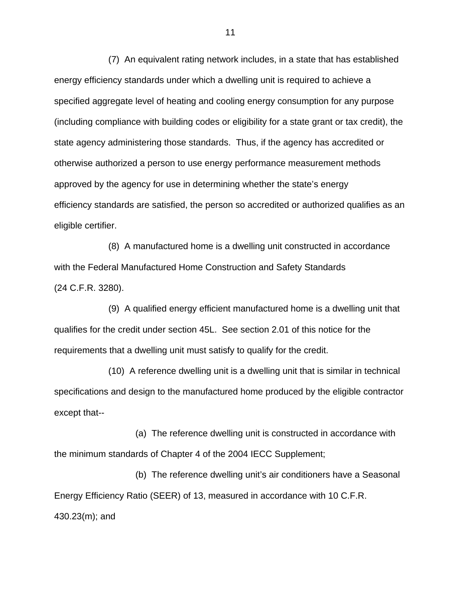(7) An equivalent rating network includes, in a state that has established energy efficiency standards under which a dwelling unit is required to achieve a specified aggregate level of heating and cooling energy consumption for any purpose (including compliance with building codes or eligibility for a state grant or tax credit), the state agency administering those standards. Thus, if the agency has accredited or otherwise authorized a person to use energy performance measurement methods approved by the agency for use in determining whether the state's energy efficiency standards are satisfied, the person so accredited or authorized qualifies as an eligible certifier.

 (8) A manufactured home is a dwelling unit constructed in accordance with the Federal Manufactured Home Construction and Safety Standards (24 C.F.R. 3280).

 (9) A qualified energy efficient manufactured home is a dwelling unit that qualifies for the credit under section 45L. See section 2.01 of this notice for the requirements that a dwelling unit must satisfy to qualify for the credit.

 (10) A reference dwelling unit is a dwelling unit that is similar in technical specifications and design to the manufactured home produced by the eligible contractor except that--

 (a) The reference dwelling unit is constructed in accordance with the minimum standards of Chapter 4 of the 2004 IECC Supplement;

 (b) The reference dwelling unit's air conditioners have a Seasonal Energy Efficiency Ratio (SEER) of 13, measured in accordance with 10 C.F.R. 430.23(m); and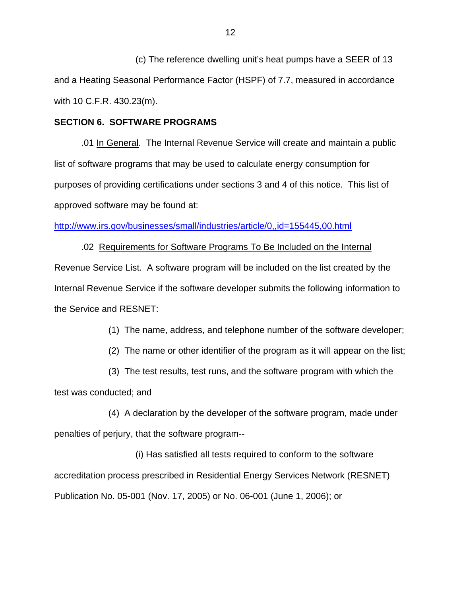(c) The reference dwelling unit's heat pumps have a SEER of 13 and a Heating Seasonal Performance Factor (HSPF) of 7.7, measured in accordance with 10 C.F.R. 430.23(m).

## **SECTION 6. SOFTWARE PROGRAMS**

 .01 In General. The Internal Revenue Service will create and maintain a public list of software programs that may be used to calculate energy consumption for purposes of providing certifications under sections 3 and 4 of this notice. This list of approved software may be found at:

<http://www.irs.gov/businesses/small/industries/article/0,,id=155445,00.html>

 .02 Requirements for Software Programs To Be Included on the Internal Revenue Service List. A software program will be included on the list created by the Internal Revenue Service if the software developer submits the following information to the Service and RESNET:

(1) The name, address, and telephone number of the software developer;

(2) The name or other identifier of the program as it will appear on the list;

(3) The test results, test runs, and the software program with which the test was conducted; and

(4) A declaration by the developer of the software program, made under penalties of perjury, that the software program--

 (i) Has satisfied all tests required to conform to the software accreditation process prescribed in Residential Energy Services Network (RESNET) Publication No. 05-001 (Nov. 17, 2005) or No. 06-001 (June 1, 2006); or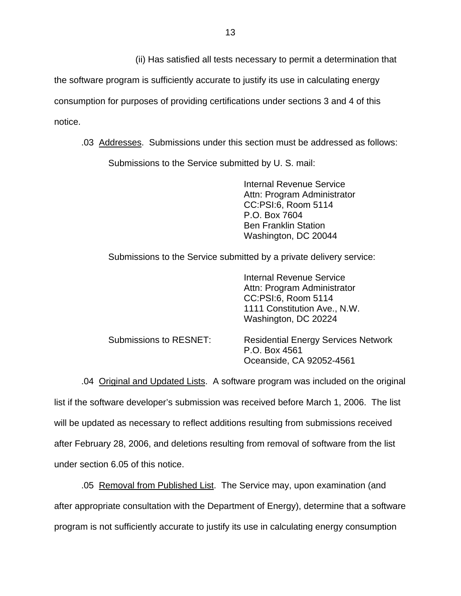(ii) Has satisfied all tests necessary to permit a determination that

the software program is sufficiently accurate to justify its use in calculating energy consumption for purposes of providing certifications under sections 3 and 4 of this notice.

.03 Addresses. Submissions under this section must be addressed as follows:

Submissions to the Service submitted by U. S. mail:

Internal Revenue Service Attn: Program Administrator CC:PSI:6, Room 5114 P.O. Box 7604 Ben Franklin Station Washington, DC 20044

Submissions to the Service submitted by a private delivery service:

|                        | Internal Revenue Service<br>Attn: Program Administrator<br>CC:PSI:6, Room 5114<br>1111 Constitution Ave., N.W.<br>Washington, DC 20224 |
|------------------------|----------------------------------------------------------------------------------------------------------------------------------------|
| Submissions to RESNET: | <b>Residential Energy Services Network</b><br>P.O. Box 4561<br>Oceanside, CA 92052-4561                                                |

.04 Original and Updated Lists. A software program was included on the original list if the software developer's submission was received before March 1, 2006. The list will be updated as necessary to reflect additions resulting from submissions received after February 28, 2006, and deletions resulting from removal of software from the list under section 6.05 of this notice.

.05 Removal from Published List. The Service may, upon examination (and after appropriate consultation with the Department of Energy), determine that a software program is not sufficiently accurate to justify its use in calculating energy consumption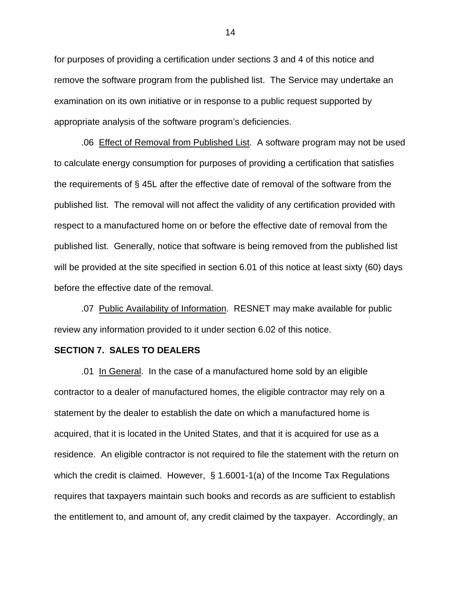for purposes of providing a certification under sections 3 and 4 of this notice and remove the software program from the published list. The Service may undertake an examination on its own initiative or in response to a public request supported by appropriate analysis of the software program's deficiencies.

.06 Effect of Removal from Published List. A software program may not be used to calculate energy consumption for purposes of providing a certification that satisfies the requirements of § 45L after the effective date of removal of the software from the published list. The removal will not affect the validity of any certification provided with respect to a manufactured home on or before the effective date of removal from the published list. Generally, notice that software is being removed from the published list will be provided at the site specified in section 6.01 of this notice at least sixty (60) days before the effective date of the removal.

.07 Public Availability of Information. RESNET may make available for public review any information provided to it under section 6.02 of this notice.

### **SECTION 7. SALES TO DEALERS**

 .01 In General. In the case of a manufactured home sold by an eligible contractor to a dealer of manufactured homes, the eligible contractor may rely on a statement by the dealer to establish the date on which a manufactured home is acquired, that it is located in the United States, and that it is acquired for use as a residence. An eligible contractor is not required to file the statement with the return on which the credit is claimed. However, § 1.6001-1(a) of the Income Tax Regulations requires that taxpayers maintain such books and records as are sufficient to establish the entitlement to, and amount of, any credit claimed by the taxpayer. Accordingly, an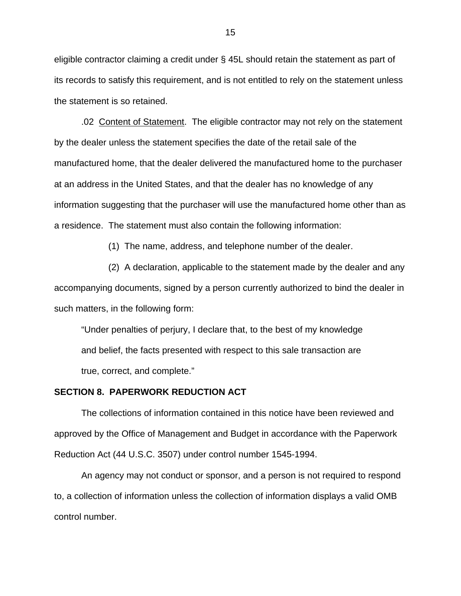eligible contractor claiming a credit under § 45L should retain the statement as part of its records to satisfy this requirement, and is not entitled to rely on the statement unless the statement is so retained.

 .02 Content of Statement. The eligible contractor may not rely on the statement by the dealer unless the statement specifies the date of the retail sale of the manufactured home, that the dealer delivered the manufactured home to the purchaser at an address in the United States, and that the dealer has no knowledge of any information suggesting that the purchaser will use the manufactured home other than as a residence. The statement must also contain the following information:

(1) The name, address, and telephone number of the dealer.

(2) A declaration, applicable to the statement made by the dealer and any accompanying documents, signed by a person currently authorized to bind the dealer in such matters, in the following form:

"Under penalties of perjury, I declare that, to the best of my knowledge and belief, the facts presented with respect to this sale transaction are true, correct, and complete."

#### **SECTION 8. PAPERWORK REDUCTION ACT**

The collections of information contained in this notice have been reviewed and approved by the Office of Management and Budget in accordance with the Paperwork Reduction Act (44 U.S.C. 3507) under control number 1545-1994.

 An agency may not conduct or sponsor, and a person is not required to respond to, a collection of information unless the collection of information displays a valid OMB control number.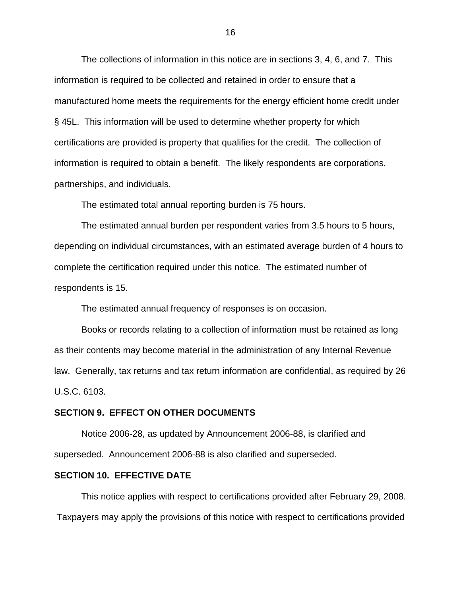The collections of information in this notice are in sections 3, 4, 6, and 7. This information is required to be collected and retained in order to ensure that a manufactured home meets the requirements for the energy efficient home credit under § 45L. This information will be used to determine whether property for which certifications are provided is property that qualifies for the credit. The collection of information is required to obtain a benefit. The likely respondents are corporations, partnerships, and individuals.

The estimated total annual reporting burden is 75 hours.

 The estimated annual burden per respondent varies from 3.5 hours to 5 hours, depending on individual circumstances, with an estimated average burden of 4 hours to complete the certification required under this notice. The estimated number of respondents is 15.

The estimated annual frequency of responses is on occasion.

 Books or records relating to a collection of information must be retained as long as their contents may become material in the administration of any Internal Revenue law. Generally, tax returns and tax return information are confidential, as required by 26 U.S.C. 6103.

#### **SECTION 9. EFFECT ON OTHER DOCUMENTS**

 Notice 2006-28, as updated by Announcement 2006-88, is clarified and superseded. Announcement 2006-88 is also clarified and superseded.

## **SECTION 10. EFFECTIVE DATE**

 This notice applies with respect to certifications provided after February 29, 2008. Taxpayers may apply the provisions of this notice with respect to certifications provided